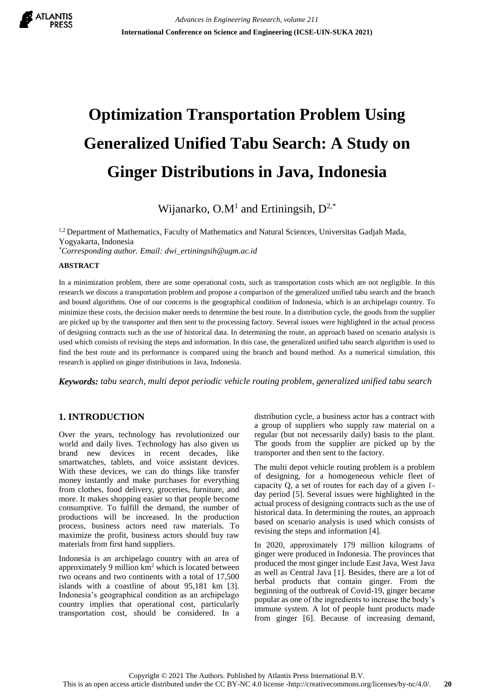

# **Optimization Transportation Problem Using Generalized Unified Tabu Search: A Study on Ginger Distributions in Java, Indonesia**

Wijanarko, O.M<sup>1</sup> and Ertiningsih,  $D^{2,*}$ 

<sup>1,2</sup> Department of Mathematics, Faculty of Mathematics and Natural Sciences, Universitas Gadjah Mada, Yogyakarta, Indonesia *\*Corresponding author. Email: dwi\_ertiningsih@ugm.ac.id*

#### **ABSTRACT**

In a minimization problem, there are some operational costs, such as transportation costs which are not negligible. In this research we discuss a transportation problem and propose a comparison of the generalized unified tabu search and the branch and bound algorithms. One of our concerns is the geographical condition of Indonesia, which is an archipelago country. To minimize these costs, the decision maker needs to determine the best route. In a distribution cycle, the goods from the supplier are picked up by the transporter and then sent to the processing factory. Several issues were highlighted in the actual process of designing contracts such as the use of historical data. In determining the route, an approach based on scenario analysis is used which consists of revising the steps and information. In this case, the generalized unified tabu search algorithm is used to find the best route and its performance is compared using the branch and bound method. As a numerical simulation, this research is applied on ginger distributions in Java, Indonesia.

*Keywords: tabu search, multi depot periodic vehicle routing problem, generalized unified tabu search*

# **1. INTRODUCTION**

Over the years, technology has revolutionized our world and daily lives. Technology has also given us brand new devices in recent decades, like smartwatches, tablets, and voice assistant devices. With these devices, we can do things like transfer money instantly and make purchases for everything from clothes, food delivery, groceries, furniture, and more. It makes shopping easier so that people become consumptive. To fulfill the demand, the number of productions will be increased. In the production process, business actors need raw materials. To maximize the profit, business actors should buy raw materials from first hand suppliers.

Indonesia is an archipelago country with an area of approximately 9 million km<sup>2</sup> which is located between two oceans and two continents with a total of 17,500 islands with a coastline of about 95,181 km [3]. Indonesia's geographical condition as an archipelago country implies that operational cost, particularly transportation cost, should be considered. In a distribution cycle, a business actor has a contract with a group of suppliers who supply raw material on a regular (but not necessarily daily) basis to the plant. The goods from the supplier are picked up by the transporter and then sent to the factory.

The multi depot vehicle routing problem is a problem of designing, for a homogeneous vehicle fleet of capacity Q, a set of routes for each day of a given  $\ell$ day period [5]. Several issues were highlighted in the actual process of designing contracts such as the use of historical data. In determining the routes, an approach based on scenario analysis is used which consists of revising the steps and information [4].

In 2020, approximately 179 million kilograms of ginger were produced in Indonesia. The provinces that produced the most ginger include East Java, West Java as well as Central Java [1]. Besides, there are a lot of herbal products that contain ginger. From the beginning of the outbreak of Covid-19, ginger became popular as one of the ingredients to increase the body's immune system. A lot of people hunt products made from ginger [6]. Because of increasing demand,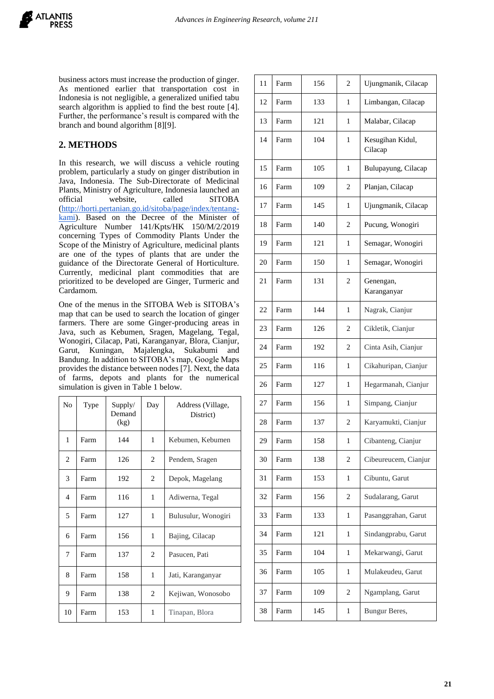

business actors must increase the production of ginger. As mentioned earlier that transportation cost in Indonesia is not negligible, a generalized unified tabu search algorithm is applied to find the best route [4]. Further, the performance's result is compared with the branch and bound algorithm [8][9].

# **2. METHODS**

In this research, we will discuss a vehicle routing problem, particularly a study on ginger distribution in Java, Indonesia. The Sub-Directorate of Medicinal Plants, Ministry of Agriculture, Indonesia launched an official website, called SITOBA [\(http://horti.pertanian.go.id/sitoba/page/index/tentang](http://horti.pertanian.go.id/sitoba/page/index/tentang-kami)[kami\)](http://horti.pertanian.go.id/sitoba/page/index/tentang-kami). Based on the Decree of the Minister of Agriculture Number 141/Kpts/HK 150/M/2/2019 concerning Types of Commodity Plants Under the Scope of the Ministry of Agriculture, medicinal plants are one of the types of plants that are under the guidance of the Directorate General of Horticulture. Currently, medicinal plant commodities that are prioritized to be developed are Ginger, Turmeric and Cardamom.

One of the menus in the SITOBA Web is SITOBA's map that can be used to search the location of ginger farmers. There are some Ginger-producing areas in Java, such as Kebumen, Sragen, Magelang, Tegal, Wonogiri, Cilacap, Pati, Karanganyar, Blora, Cianjur, Garut, Kuningan, Majalengka, Sukabumi and Bandung. In addition to SITOBA's map, Google Maps provides the distance between nodes [7]. Next, the data of farms, depots and plants for the numerical simulation is given in Table 1 below.

| N <sub>o</sub> | Type | Supply/<br>Demand<br>(kg) | Day | Address (Village,<br>District) |
|----------------|------|---------------------------|-----|--------------------------------|
| 1              | Farm | 144                       | 1   | Kebumen, Kebumen               |
| 2              | Farm | 126                       | 2   | Pendem, Sragen                 |
| 3              | Farm | 192                       | 2   | Depok, Magelang                |
| 4              | Farm | 116                       | 1   | Adiwerna, Tegal                |
| 5              | Farm | 127                       | 1   | Bulusulur, Wonogiri            |
| 6              | Farm | 156                       | 1   | Bajing, Cilacap                |
| 7              | Farm | 137                       | 2   | Pasucen, Pati                  |
| 8              | Farm | 158                       | 1   | Jati, Karanganyar              |
| 9              | Farm | 138                       | 2   | Kejiwan, Wonosobo              |
| 10             | Farm | 153                       | 1   | Tinapan, Blora                 |

| 11 | Farm | 156 | 2              | Ujungmanik, Cilacap         |  |
|----|------|-----|----------------|-----------------------------|--|
| 12 | Farm | 133 | 1              | Limbangan, Cilacap          |  |
| 13 | Farm | 121 | 1              | Malabar, Cilacap            |  |
| 14 | Farm | 104 | 1              | Kesugihan Kidul,<br>Cilacap |  |
| 15 | Farm | 105 | 1              | Bulupayung, Cilacap         |  |
| 16 | Farm | 109 | 2              | Planjan, Cilacap            |  |
| 17 | Farm | 145 | 1              | Ujungmanik, Cilacap         |  |
| 18 | Farm | 140 | 2              | Pucung, Wonogiri            |  |
| 19 | Farm | 121 | 1              | Semagar, Wonogiri           |  |
| 20 | Farm | 150 | 1              | Semagar, Wonogiri           |  |
| 21 | Farm | 131 | 2              | Genengan,<br>Karanganyar    |  |
| 22 | Farm | 144 | 1              | Nagrak, Cianjur             |  |
| 23 | Farm | 126 | 2              | Cikletik, Cianjur           |  |
| 24 | Farm | 192 | 2              | Cinta Asih, Cianjur         |  |
| 25 | Farm | 116 | 1              | Cikahuripan, Cianjur        |  |
| 26 | Farm | 127 | 1              | Hegarmanah, Cianjur         |  |
| 27 | Farm | 156 | 1              | Simpang, Cianjur            |  |
| 28 | Farm | 137 | $\overline{c}$ | Karyamukti, Cianjur         |  |
| 29 | Farm | 158 | 1              | Cibanteng, Cianjur          |  |
| 30 | Farm | 138 | 2              | Cibeureucem, Cianjur        |  |
| 31 | Farm | 153 | 1              | Cibuntu, Garut              |  |
| 32 | Farm | 156 | $\overline{c}$ | Sudalarang, Garut           |  |
| 33 | Farm | 133 | 1              | Pasanggrahan, Garut         |  |
| 34 | Farm | 121 | 1              | Sindangprabu, Garut         |  |
| 35 | Farm | 104 | 1              | Mekarwangi, Garut           |  |
| 36 | Farm | 105 | 1              | Mulakeudeu, Garut           |  |
| 37 | Farm | 109 | 2              | Ngamplang, Garut            |  |
| 38 | Farm | 145 | 1              | Bungur Beres,               |  |
|    |      |     |                |                             |  |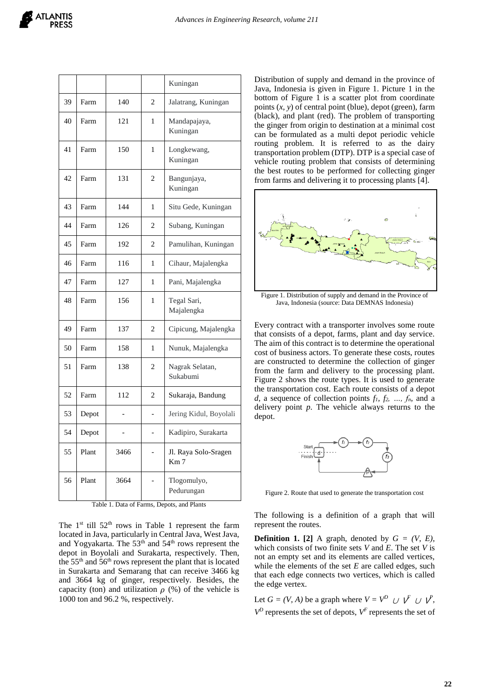|    |       |      |                | Kuningan                                |  |
|----|-------|------|----------------|-----------------------------------------|--|
| 39 | Farm  | 140  | $\overline{c}$ | Jalatrang, Kuningan                     |  |
| 40 | Farm  | 121  | 1              | Mandapajaya,<br>Kuningan                |  |
| 41 | Farm  | 150  | 1              | Longkewang,<br>Kuningan                 |  |
| 42 | Farm  | 131  | 2              | Bangunjaya,<br>Kuningan                 |  |
| 43 | Farm  | 144  | 1              | Situ Gede, Kuningan                     |  |
| 44 | Farm  | 126  | 2              | Subang, Kuningan                        |  |
| 45 | Farm  | 192  | 2              | Pamulihan, Kuningan                     |  |
| 46 | Farm  | 116  | 1              | Cihaur, Majalengka                      |  |
| 47 | Farm  | 127  | 1              | Pani, Majalengka                        |  |
| 48 | Farm  | 156  | 1              | Tegal Sari,<br>Majalengka               |  |
| 49 | Farm  | 137  | $\overline{c}$ | Cipicung, Majalengka                    |  |
| 50 | Farm  | 158  | 1              | Nunuk, Majalengka                       |  |
| 51 | Farm  | 138  | 2              | Nagrak Selatan,<br>Sukabumi             |  |
| 52 | Farm  | 112  | $\mathfrak{D}$ | Sukaraja, Bandung                       |  |
| 53 | Depot |      |                | Jering Kidul, Boyolali                  |  |
| 54 | Depot |      | $\overline{a}$ | Kadipiro, Surakarta                     |  |
| 55 | Plant | 3466 |                | Jl. Raya Solo-Sragen<br>Km <sub>7</sub> |  |
| 56 | Plant | 3664 |                | Tlogomulyo,<br>Pedurungan               |  |

Table 1. Data of Farms, Depots, and Plants

The  $1<sup>st</sup>$  till  $52<sup>th</sup>$  rows in Table 1 represent the farm located in Java, particularly in Central Java, West Java, and Yogyakarta. The 53<sup>th</sup> and 54<sup>th</sup> rows represent the depot in Boyolali and Surakarta, respectively. Then, the  $55<sup>th</sup>$  and  $56<sup>th</sup>$  rows represent the plant that is located in Surakarta and Semarang that can receive 3466 kg and 3664 kg of ginger, respectively. Besides, the capacity (ton) and utilization  $\rho$  (%) of the vehicle is 1000 ton and 96.2 %, respectively.

Distribution of supply and demand in the province of Java, Indonesia is given in Figure 1. Picture 1 in the bottom of Figure 1 is a scatter plot from coordinate points  $(x, y)$  of central point (blue), depot (green), farm (black), and plant (red). The problem of transporting the ginger from origin to destination at a minimal cost can be formulated as a multi depot periodic vehicle routing problem. It is referred to as the dairy transportation problem (DTP). DTP is a special case of vehicle routing problem that consists of determining the best routes to be performed for collecting ginger from farms and delivering it to processing plants [4].



Figure 1. Distribution of supply and demand in the Province of Java, Indonesia (source: Data DEMNAS Indonesia)

Every contract with a transporter involves some route that consists of a depot, farms, plant and day service. The aim of this contract is to determine the operational cost of business actors. To generate these costs, routes are constructed to determine the collection of ginger from the farm and delivery to the processing plant. Figure 2 shows the route types. It is used to generate the transportation cost. Each route consists of a depot *d*, a sequence of collection points  $f_1, f_2, ..., f_n$  and a delivery point *p*. The vehicle always returns to the depot.



Figure 2. Route that used to generate the transportation cost

The following is a definition of a graph that will represent the routes.

**Definition 1.** [2] A graph, denoted by  $G = (V, E)$ , which consists of two finite sets *V* and *E*. The set *V* is not an empty set and its elements are called vertices, while the elements of the set *E* are called edges, such that each edge connects two vertices, which is called the edge vertex.

Let  $G = (V, A)$  be a graph where  $V = V^D \cup V^F \cup V^P$ ,  $V^D$  represents the set of depots,  $V^F$  represents the set of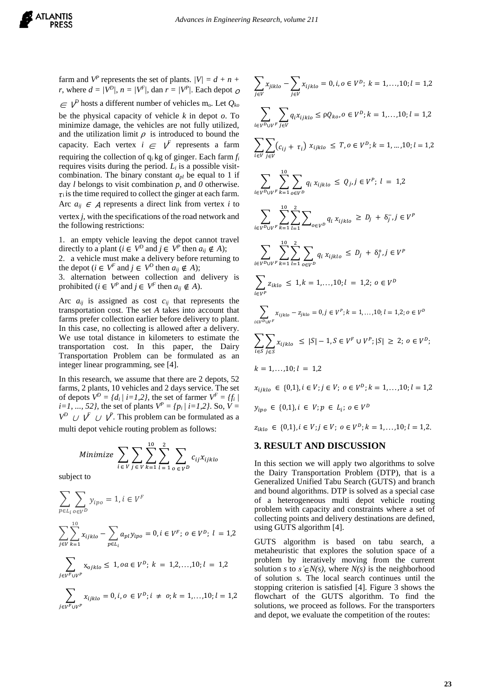farm and  $V^P$  represents the set of plants.  $|V| = d + n + 1$ *r*, where  $d = |V^D|$ ,  $n = |V^F|$ , dan  $r = |V^P|$ . Each depot  $\phi$  $\in V^D$  hosts a different number of vehicles m<sub>0</sub>. Let  $Q_{k_0}$ be the physical capacity of vehicle *k* in depot *o*. To minimize damage, the vehicles are not fully utilized, and the utilization limit  $\rho$  is introduced to bound the capacity. Each vertex  $i \in V$  represents a farm requiring the collection of qi kg of ginger. Each farm *f<sup>i</sup>* requires visits during the period.  $L_i$  is a possible visitcombination. The binary constant  $a_{pl}$  be equal to 1 if day *l* belongs to visit combination *p*, and *0* otherwise.  $\tau_i$  is the time required to collect the ginger at each farm. Arc  $a_{ij} \in A$  represents a direct link from vertex *i* to vertex *j*, with the specifications of the road network and the following restrictions:

1. an empty vehicle leaving the depot cannot travel directly to a plant ( $i \in V^D$  and  $j \in V^P$  then  $a_{ij} \notin A$ );

2. a vehicle must make a delivery before returning to the depot ( $i \in V^F$  and  $j \in V^D$  then  $a_{ij} \notin A$ );

3. alternation between collection and delivery is prohibited ( $i \in V^P$  and  $j \in V^F$  then  $a_{ij} \notin A$ ).

Arc  $a_{ij}$  is assigned as cost  $c_{ij}$  that represents the transportation cost. The set *A* takes into account that farms prefer collection earlier before delivery to plant. In this case, no collecting is allowed after a delivery. We use total distance in kilometers to estimate the transportation cost. In this paper, the Dairy Transportation Problem can be formulated as an integer linear programming, see [4].

In this research, we assume that there are 2 depots, 52 farms, 2 plants, 10 vehicles and 2 days service. The set of depots  $V^D = \{d_i \mid i = 1, 2\}$ , the set of farmer  $V^F = \{f_i \mid i = 1, 2\}$ *i*=1, ..., 52}, the set of plants  $V^P = \{p_i \mid i = 1, 2\}$ . So,  $V =$  $V^D$  *∪*  $\overline{V}$  *∪*  $\overline{V}$ . This problem can be formulated as a multi depot vehicle routing problem as follows:

Minimize 
$$
\sum_{i \in V} \sum_{j \in V} \sum_{k=1}^{10} \sum_{l=1}^{2} \sum_{o \in V^D} c_{ij} x_{ijklo}
$$

subject to

$$
\sum_{p \in L_i} \sum_{o \in V^D} y_{ipo} = 1, i \in V^F
$$
\n
$$
\sum_{j \in V} \sum_{k=1}^{10} x_{ijklo} - \sum_{p \in L_i} a_{pl} y_{ipo} = 0, i \in V^F; o \in V^D; l = 1,2
$$
\n
$$
\sum_{j \in V^F \cup V^P} x_{ojklo} \le 1, oa \in V^D; k = 1,2,...,10; l = 1,2
$$

$$
\sum_{j \in V^{F} \cup V^{P}} x_{ijklo} = 0, i, o \in V^{D}; i \neq o; k = 1,...,10; l = 1,2
$$

$$
\sum_{j \in V} x_{jiklo} - \sum_{j \in V} x_{ijklo} = 0, i, o \in V^D; k = 1,...,10; l = 1,2
$$
\n
$$
\sum_{i \in V^D \cup V^F} \sum_{j \in V} q_i x_{ijklo} \le \rho Q_{ko}, o \in V^D; k = 1,...,10; l = 1,2
$$
\n
$$
\sum_{i \in V} \sum_{j \in V} (c_{ij} + \tau_i) x_{ijklo} \le T, o \in V^D; k = 1,...,10; l = 1,2
$$
\n
$$
\sum_{i \in V^D \cup V^F} \sum_{k=1}^{10} \sum_{o \in V^D} q_i x_{ijklo} \le Q_j, j \in V^P; l = 1,2
$$
\n
$$
\sum_{i \in V^D \cup V^F} \sum_{k=1}^{10} \sum_{l=1}^{2} \sum_{o \in V^D} q_i x_{ijklo} \ge D_j + \delta_j^-, j \in V^P
$$
\n
$$
\sum_{i \in V^D \cup V^F} \sum_{k=1}^{10} \sum_{l=1}^{2} \sum_{o \in V^D} q_i x_{ijklo} \le D_j + \delta_j^+, j \in V^P
$$
\n
$$
\sum_{i \in V^P} z_{iklo} \le 1, k = 1,...,10; l = 1,2; o \in V^D
$$
\n
$$
\sum_{i \in V^P} x_{ijklo} - z_{jklo} = 0, j \in V^P; k = 1,...,10; l = 1,2; o \in V^D
$$
\n
$$
\sum_{i \in S} \sum_{j \in S} x_{ijklo} \le |S| - 1, S \in V^F \cup V^P; |S| \ge 2; o \in V^D;
$$
\n
$$
k = 1,...,10; l = 1,2
$$
\n
$$
x_{ijklo} \in \{0,1\}, i \in V; j \in V; o \in V^D; k = 1,...,10; l = 1,2
$$
\n
$$
y_{ipo} \in \{0,1\}, i \in V; j \in V; o \in V^D; k = 1,...,10; l = 1,2
$$

#### **3. RESULT AND DISCUSSION**

In this section we will apply two algorithms to solve the Dairy Transportation Problem (DTP), that is a Generalized Unified Tabu Search (GUTS) and branch and bound algorithms. DTP is solved as a special case of a heterogeneous multi depot vehicle routing problem with capacity and constraints where a set of collecting points and delivery destinations are defined, using GUTS algorithm [4].

GUTS algorithm is based on tabu search, a metaheuristic that explores the solution space of a problem by iteratively moving from the current solution *s* to  $s' \in N(s)$ , where  $N(s)$  is the neighborhood of solution s. The local search continues until the stopping criterion is satisfied [4]. Figure 3 shows the flowchart of the GUTS algorithm. To find the solutions, we proceed as follows. For the transporters and depot, we evaluate the competition of the routes: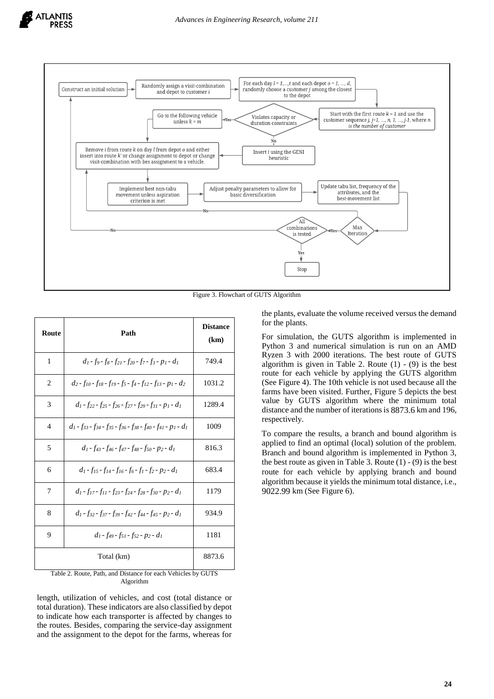

Figure 3. Flowchart of GUTS Algorithm

| Route          | Path                                                                                                                                                                  | <b>Distance</b><br>(km) |
|----------------|-----------------------------------------------------------------------------------------------------------------------------------------------------------------------|-------------------------|
| 1              | $d_1$ - fo - fs - f <sub>21</sub> - f <sub>20</sub> - f <sub>7</sub> - f <sub>3</sub> - p <sub>1</sub> - d <sub>1</sub>                                               | 749.4                   |
| 2              | $d_2$ - $f_{10}$ - $f_{18}$ - $f_{19}$ - $f_5$ - $f_4$ - $f_{12}$ - $f_{13}$ - $p_1$ - $d_2$                                                                          | 1031.2                  |
| 3              | $d_1$ - f <sub>22</sub> - f <sub>25</sub> - f <sub>26</sub> - f <sub>27</sub> - f <sub>29</sub> - f <sub>31</sub> - p <sub>1</sub> - d <sub>1</sub>                   | 1289.4                  |
| $\overline{4}$ | $d_1$ - f <sub>33</sub> - f <sub>34</sub> - f <sub>35</sub> - f <sub>36</sub> - f <sub>38</sub> - f <sub>40</sub> - f <sub>41</sub> - p <sub>1</sub> - d <sub>1</sub> | 1009                    |
| 5              | $d_1$ - f <sub>43</sub> - f <sub>46</sub> - f <sub>47</sub> - f <sub>48</sub> - f <sub>50</sub> - p <sub>2</sub> - d <sub>1</sub>                                     | 816.3                   |
| 6              | $d_1$ - f <sub>15</sub> - f <sub>14</sub> - f <sub>16</sub> - f <sub>6</sub> - f <sub>1</sub> - f <sub>2</sub> - p <sub>2</sub> - d <sub>1</sub>                      | 683.4                   |
| 7              | $d_1$ - f <sub>17</sub> - f <sub>11</sub> - f <sub>23</sub> - f <sub>24</sub> - f <sub>28</sub> - f <sub>30</sub> - p <sub>2</sub> - d <sub>1</sub>                   | 1179                    |
| 8              | $d_1$ - f <sub>32</sub> - f <sub>37</sub> - f <sub>39</sub> - f <sub>42</sub> - f <sub>44</sub> - f <sub>45</sub> - p <sub>2</sub> - d <sub>1</sub>                   | 934.9                   |
| 9              | $d_1$ - f <sub>49</sub> - f <sub>51</sub> - f <sub>52</sub> - p <sub>2</sub> - d <sub>1</sub>                                                                         | 1181                    |
|                | Total (km)                                                                                                                                                            | 8873.6                  |

Table 2. Route, Path, and Distance for each Vehicles by GUTS Algorithm

length, utilization of vehicles, and cost (total distance or total duration). These indicators are also classified by depot to indicate how each transporter is affected by changes to the routes. Besides, comparing the service-day assignment and the assignment to the depot for the farms, whereas for

the plants, evaluate the volume received versus the demand for the plants.

For simulation, the GUTS algorithm is implemented in Python 3 and numerical simulation is run on an AMD Ryzen 3 with 2000 iterations. The best route of GUTS algorithm is given in Table 2. Route  $(1)$  -  $(9)$  is the best route for each vehicle by applying the GUTS algorithm (See Figure 4). The 10th vehicle is not used because all the farms have been visited. Further, Figure 5 depicts the best value by GUTS algorithm where the minimum total distance and the number of iterations is 8873.6 km and 196, respectively.

To compare the results, a branch and bound algorithm is applied to find an optimal (local) solution of the problem. Branch and bound algorithm is implemented in Python 3, the best route as given in Table 3. Route  $(1) - (9)$  is the best route for each vehicle by applying branch and bound algorithm because it yields the minimum total distance, i.e., 9022.99 km (See Figure 6).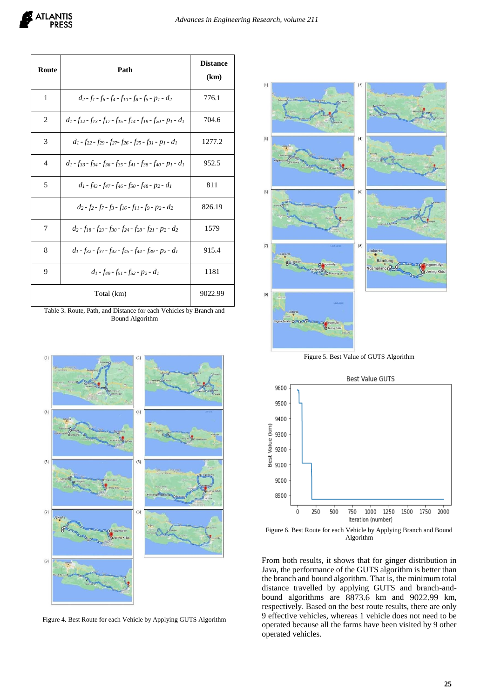

| Route | Path                                                                                                                                                                  | <b>Distance</b><br>(km) |
|-------|-----------------------------------------------------------------------------------------------------------------------------------------------------------------------|-------------------------|
| 1     | $d_2$ - $f_1$ - $f_6$ - $f_4$ - $f_{10}$ - $f_8$ - $f_5$ - $p_1$ - $d_2$                                                                                              | 776.1                   |
| 2     | $d_1$ - f <sub>12</sub> - f <sub>13</sub> - f <sub>17</sub> - f <sub>15</sub> - f <sub>14</sub> - f <sub>19</sub> - f <sub>20</sub> - p <sub>1</sub> - d <sub>1</sub> | 704.6                   |
| 3     | $d_1$ - f <sub>22</sub> - f <sub>29</sub> - f <sub>27</sub> - f <sub>26</sub> - f <sub>25</sub> - f <sub>31</sub> - p <sub>1</sub> - d <sub>1</sub>                   | 1277.2                  |
| 4     | $d_1$ - f <sub>33</sub> - f <sub>34</sub> - f <sub>36</sub> - f <sub>35</sub> - f <sub>41</sub> - f <sub>38</sub> - f <sub>40</sub> - p <sub>1</sub> - d <sub>1</sub> | 952.5                   |
| 5     | $d_1$ - f <sub>43</sub> - f <sub>47</sub> - f <sub>46</sub> - f <sub>50</sub> - f <sub>48</sub> - p <sub>2</sub> - d <sub>1</sub>                                     | 811                     |
|       | $d_2$ - f <sub>2</sub> - f <sub>3</sub> - f <sub>16</sub> - f <sub>11</sub> - f <sub>9</sub> - p <sub>2</sub> - d <sub>2</sub>                                        | 826.19                  |
| 7     | $d_2$ - $f_{18}$ - $f_{23}$ - $f_{30}$ - $f_{24}$ - $f_{28}$ - $f_{21}$ - $p_2$ - $d_2$                                                                               | 1579                    |
| 8     | $d_1 - f_{32} - f_{37} - f_{42} - f_{45} - f_{44} - f_{39} - p_2 - d_1$                                                                                               | 915.4                   |
| 9     | $d_1$ - $f_{49}$ - $f_{51}$ - $f_{52}$ - $p_2$ - $d_1$                                                                                                                | 1181                    |
|       | Total (km)                                                                                                                                                            | 9022.99                 |

Table 3. Route, Path, and Distance for each Vehicles by Branch and Bound Algorithm



Figure 4. Best Route for each Vehicle by Applying GUTS Algorithm



Figure 5. Best Value of GUTS Algorithm



Figure 6. Best Route for each Vehicle by Applying Branch and Bound Algorithm

From both results, it shows that for ginger distribution in Java, the performance of the GUTS algorithm is better than the branch and bound algorithm. That is, the minimum total distance travelled by applying GUTS and branch-andbound algorithms are 8873.6 km and 9022.99 km, respectively. Based on the best route results, there are only 9 effective vehicles, whereas 1 vehicle does not need to be operated because all the farms have been visited by 9 other operated vehicles.